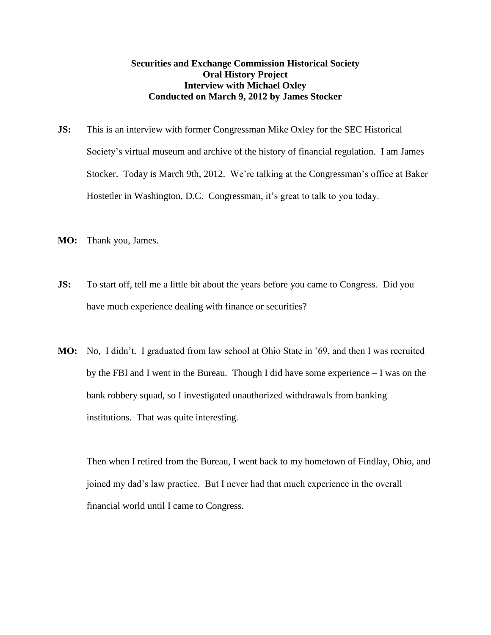## **Securities and Exchange Commission Historical Society Oral History Project Interview with Michael Oxley Conducted on March 9, 2012 by James Stocker**

- **JS:** This is an interview with former Congressman Mike Oxley for the SEC Historical Society's virtual museum and archive of the history of financial regulation. I am James Stocker. Today is March 9th, 2012. We're talking at the Congressman's office at Baker Hostetler in Washington, D.C. Congressman, it's great to talk to you today.
- **MO:** Thank you, James.
- **JS:** To start off, tell me a little bit about the years before you came to Congress. Did you have much experience dealing with finance or securities?
- **MO:** No, I didn't. I graduated from law school at Ohio State in '69, and then I was recruited by the FBI and I went in the Bureau. Though I did have some experience – I was on the bank robbery squad, so I investigated unauthorized withdrawals from banking institutions. That was quite interesting.

Then when I retired from the Bureau, I went back to my hometown of Findlay, Ohio, and joined my dad's law practice. But I never had that much experience in the overall financial world until I came to Congress.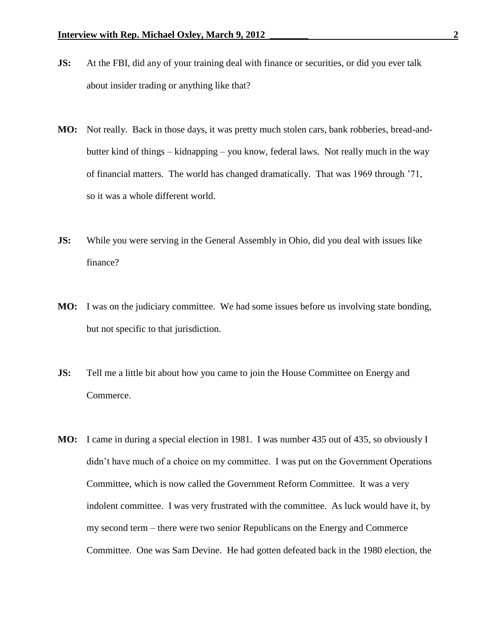- **JS:** At the FBI, did any of your training deal with finance or securities, or did you ever talk about insider trading or anything like that?
- **MO:** Not really. Back in those days, it was pretty much stolen cars, bank robberies, bread-andbutter kind of things – kidnapping – you know, federal laws. Not really much in the way of financial matters. The world has changed dramatically. That was 1969 through '71, so it was a whole different world.
- **JS:** While you were serving in the General Assembly in Ohio, did you deal with issues like finance?
- **MO:** I was on the judiciary committee. We had some issues before us involving state bonding, but not specific to that jurisdiction.
- **JS:** Tell me a little bit about how you came to join the House Committee on Energy and Commerce.
- **MO:** I came in during a special election in 1981. I was number 435 out of 435, so obviously I didn't have much of a choice on my committee. I was put on the Government Operations Committee, which is now called the Government Reform Committee. It was a very indolent committee. I was very frustrated with the committee. As luck would have it, by my second term – there were two senior Republicans on the Energy and Commerce Committee. One was Sam Devine. He had gotten defeated back in the 1980 election, the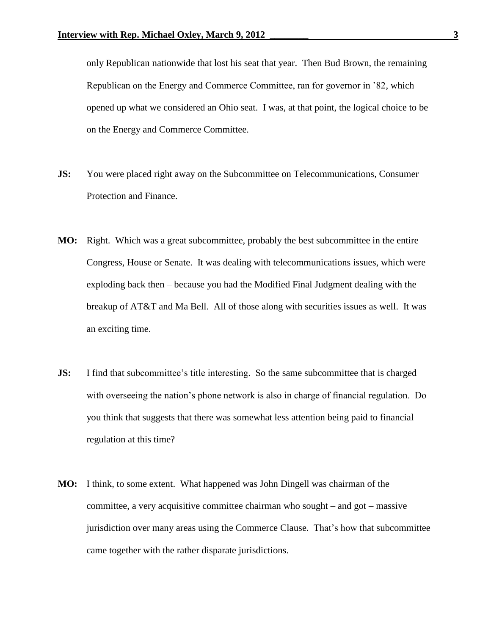only Republican nationwide that lost his seat that year. Then Bud Brown, the remaining Republican on the Energy and Commerce Committee, ran for governor in '82, which opened up what we considered an Ohio seat. I was, at that point, the logical choice to be on the Energy and Commerce Committee.

- **JS:** You were placed right away on the Subcommittee on Telecommunications, Consumer Protection and Finance.
- **MO:** Right. Which was a great subcommittee, probably the best subcommittee in the entire Congress, House or Senate. It was dealing with telecommunications issues, which were exploding back then – because you had the Modified Final Judgment dealing with the breakup of AT&T and Ma Bell. All of those along with securities issues as well. It was an exciting time.
- **JS:** I find that subcommittee's title interesting. So the same subcommittee that is charged with overseeing the nation's phone network is also in charge of financial regulation. Do you think that suggests that there was somewhat less attention being paid to financial regulation at this time?
- **MO:** I think, to some extent. What happened was John Dingell was chairman of the committee, a very acquisitive committee chairman who sought – and got – massive jurisdiction over many areas using the Commerce Clause. That's how that subcommittee came together with the rather disparate jurisdictions.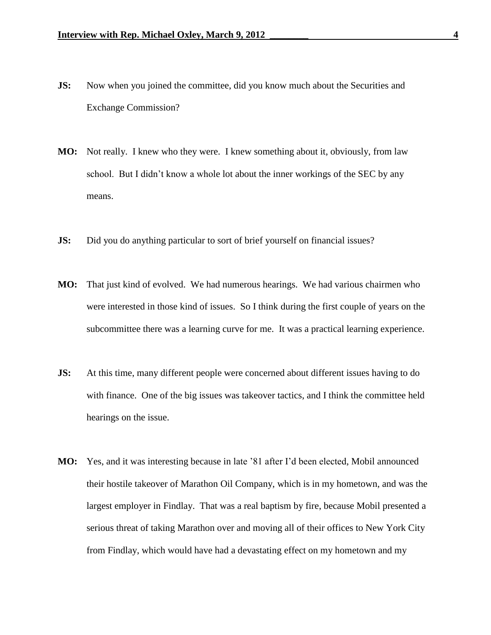- **JS:** Now when you joined the committee, did you know much about the Securities and Exchange Commission?
- **MO:** Not really. I knew who they were. I knew something about it, obviously, from law school. But I didn't know a whole lot about the inner workings of the SEC by any means.
- **JS:** Did you do anything particular to sort of brief yourself on financial issues?
- **MO:** That just kind of evolved. We had numerous hearings. We had various chairmen who were interested in those kind of issues. So I think during the first couple of years on the subcommittee there was a learning curve for me. It was a practical learning experience.
- **JS:** At this time, many different people were concerned about different issues having to do with finance. One of the big issues was takeover tactics, and I think the committee held hearings on the issue.
- **MO:** Yes, and it was interesting because in late '81 after I'd been elected, Mobil announced their hostile takeover of Marathon Oil Company, which is in my hometown, and was the largest employer in Findlay. That was a real baptism by fire, because Mobil presented a serious threat of taking Marathon over and moving all of their offices to New York City from Findlay, which would have had a devastating effect on my hometown and my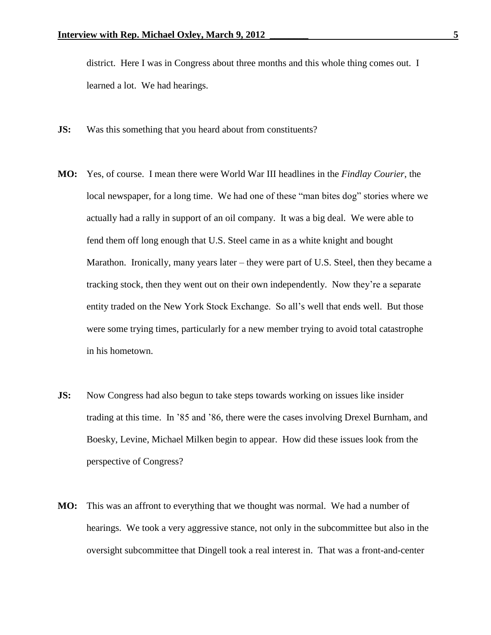district. Here I was in Congress about three months and this whole thing comes out. I learned a lot. We had hearings.

- **JS:** Was this something that you heard about from constituents?
- **MO:** Yes, of course. I mean there were World War III headlines in the *Findlay Courier*, the local newspaper, for a long time. We had one of these "man bites dog" stories where we actually had a rally in support of an oil company. It was a big deal. We were able to fend them off long enough that U.S. Steel came in as a white knight and bought Marathon. Ironically, many years later – they were part of U.S. Steel, then they became a tracking stock, then they went out on their own independently. Now they're a separate entity traded on the New York Stock Exchange. So all's well that ends well. But those were some trying times, particularly for a new member trying to avoid total catastrophe in his hometown.
- **JS:** Now Congress had also begun to take steps towards working on issues like insider trading at this time. In '85 and '86, there were the cases involving Drexel Burnham, and Boesky, Levine, Michael Milken begin to appear. How did these issues look from the perspective of Congress?
- **MO:** This was an affront to everything that we thought was normal. We had a number of hearings. We took a very aggressive stance, not only in the subcommittee but also in the oversight subcommittee that Dingell took a real interest in. That was a front-and-center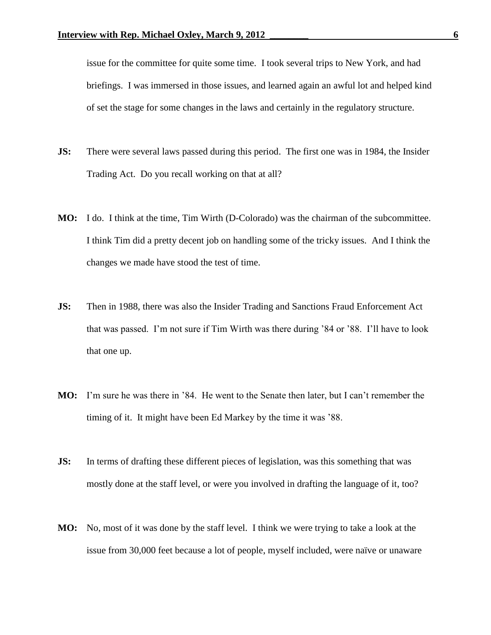issue for the committee for quite some time. I took several trips to New York, and had briefings. I was immersed in those issues, and learned again an awful lot and helped kind of set the stage for some changes in the laws and certainly in the regulatory structure.

- **JS:** There were several laws passed during this period. The first one was in 1984, the Insider Trading Act. Do you recall working on that at all?
- **MO:** I do. I think at the time, Tim Wirth (D-Colorado) was the chairman of the subcommittee. I think Tim did a pretty decent job on handling some of the tricky issues. And I think the changes we made have stood the test of time.
- **JS:** Then in 1988, there was also the Insider Trading and Sanctions Fraud Enforcement Act that was passed. I'm not sure if Tim Wirth was there during '84 or '88. I'll have to look that one up.
- **MO:** I'm sure he was there in '84. He went to the Senate then later, but I can't remember the timing of it. It might have been Ed Markey by the time it was '88.
- **JS:** In terms of drafting these different pieces of legislation, was this something that was mostly done at the staff level, or were you involved in drafting the language of it, too?
- **MO:** No, most of it was done by the staff level. I think we were trying to take a look at the issue from 30,000 feet because a lot of people, myself included, were naïve or unaware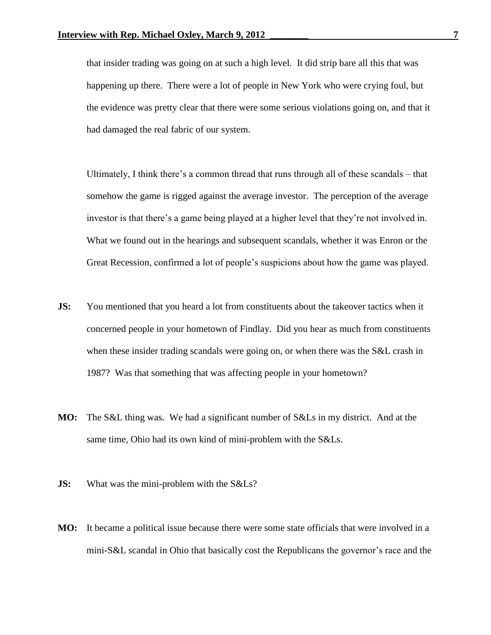that insider trading was going on at such a high level. It did strip bare all this that was happening up there. There were a lot of people in New York who were crying foul, but the evidence was pretty clear that there were some serious violations going on, and that it had damaged the real fabric of our system.

Ultimately, I think there's a common thread that runs through all of these scandals – that somehow the game is rigged against the average investor. The perception of the average investor is that there's a game being played at a higher level that they're not involved in. What we found out in the hearings and subsequent scandals, whether it was Enron or the Great Recession, confirmed a lot of people's suspicions about how the game was played.

- **JS:** You mentioned that you heard a lot from constituents about the takeover tactics when it concerned people in your hometown of Findlay. Did you hear as much from constituents when these insider trading scandals were going on, or when there was the S&L crash in 1987? Was that something that was affecting people in your hometown?
- **MO:** The S&L thing was. We had a significant number of S&Ls in my district. And at the same time, Ohio had its own kind of mini-problem with the S&Ls.
- **JS:** What was the mini-problem with the S&Ls?
- **MO:** It became a political issue because there were some state officials that were involved in a mini-S&L scandal in Ohio that basically cost the Republicans the governor's race and the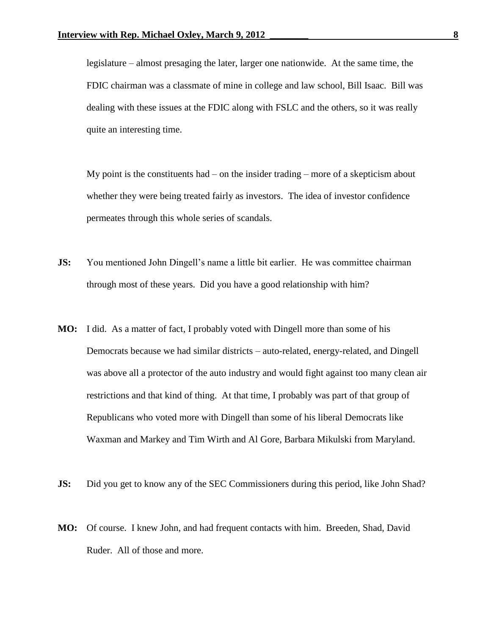legislature – almost presaging the later, larger one nationwide. At the same time, the FDIC chairman was a classmate of mine in college and law school, Bill Isaac. Bill was dealing with these issues at the FDIC along with FSLC and the others, so it was really quite an interesting time.

My point is the constituents had  $-$  on the insider trading  $-$  more of a skepticism about whether they were being treated fairly as investors. The idea of investor confidence permeates through this whole series of scandals.

- **JS:** You mentioned John Dingell's name a little bit earlier. He was committee chairman through most of these years. Did you have a good relationship with him?
- **MO:** I did. As a matter of fact, I probably voted with Dingell more than some of his Democrats because we had similar districts – auto-related, energy-related, and Dingell was above all a protector of the auto industry and would fight against too many clean air restrictions and that kind of thing. At that time, I probably was part of that group of Republicans who voted more with Dingell than some of his liberal Democrats like Waxman and Markey and Tim Wirth and Al Gore, Barbara Mikulski from Maryland.
- **JS:** Did you get to know any of the SEC Commissioners during this period, like John Shad?
- **MO:** Of course. I knew John, and had frequent contacts with him. Breeden, Shad, David Ruder. All of those and more.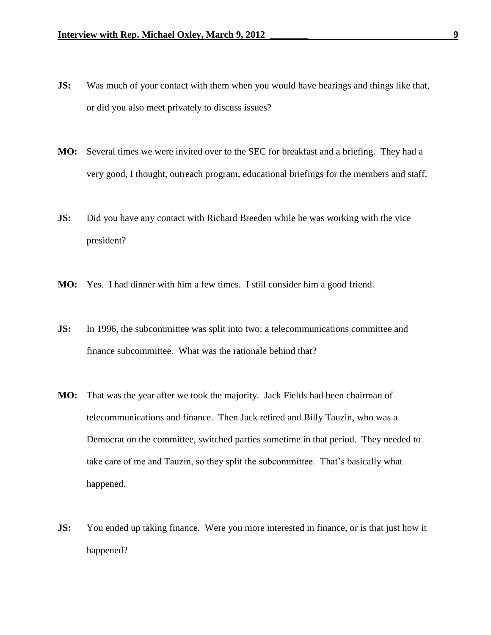- **JS:** Was much of your contact with them when you would have hearings and things like that, or did you also meet privately to discuss issues?
- **MO:** Several times we were invited over to the SEC for breakfast and a briefing. They had a very good, I thought, outreach program, educational briefings for the members and staff.
- **JS:** Did you have any contact with Richard Breeden while he was working with the vice president?
- **MO:** Yes. I had dinner with him a few times. I still consider him a good friend.
- **JS:** In 1996, the subcommittee was split into two: a telecommunications committee and finance subcommittee. What was the rationale behind that?
- **MO:** That was the year after we took the majority. Jack Fields had been chairman of telecommunications and finance. Then Jack retired and Billy Tauzin, who was a Democrat on the committee, switched parties sometime in that period. They needed to take care of me and Tauzin, so they split the subcommittee. That's basically what happened.
- **JS:** You ended up taking finance. Were you more interested in finance, or is that just how it happened?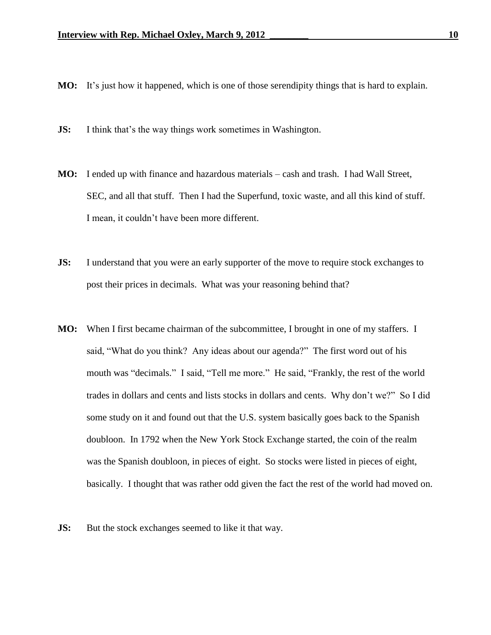- **MO:** It's just how it happened, which is one of those serendipity things that is hard to explain.
- **JS:** I think that's the way things work sometimes in Washington.
- **MO:** I ended up with finance and hazardous materials cash and trash. I had Wall Street, SEC, and all that stuff. Then I had the Superfund, toxic waste, and all this kind of stuff. I mean, it couldn't have been more different.
- **JS:** I understand that you were an early supporter of the move to require stock exchanges to post their prices in decimals. What was your reasoning behind that?
- **MO:** When I first became chairman of the subcommittee, I brought in one of my staffers. I said, "What do you think? Any ideas about our agenda?" The first word out of his mouth was "decimals." I said, "Tell me more." He said, "Frankly, the rest of the world trades in dollars and cents and lists stocks in dollars and cents. Why don't we?" So I did some study on it and found out that the U.S. system basically goes back to the Spanish doubloon. In 1792 when the New York Stock Exchange started, the coin of the realm was the Spanish doubloon, in pieces of eight. So stocks were listed in pieces of eight, basically. I thought that was rather odd given the fact the rest of the world had moved on.
- **JS:** But the stock exchanges seemed to like it that way.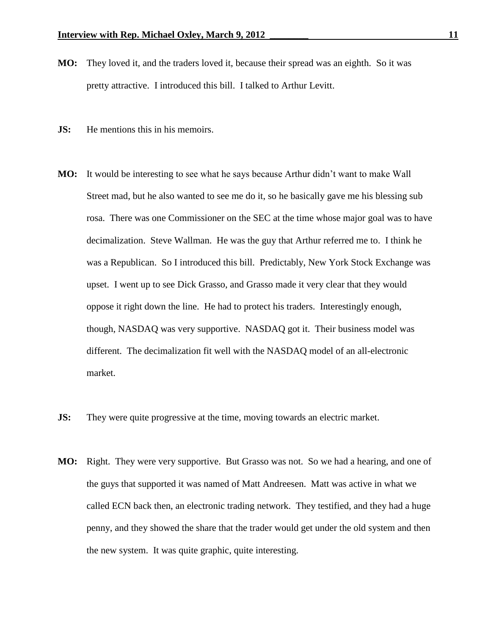- **MO:** They loved it, and the traders loved it, because their spread was an eighth. So it was pretty attractive. I introduced this bill. I talked to Arthur Levitt.
- **JS:** He mentions this in his memoirs.
- **MO:** It would be interesting to see what he says because Arthur didn't want to make Wall Street mad, but he also wanted to see me do it, so he basically gave me his blessing sub rosa. There was one Commissioner on the SEC at the time whose major goal was to have decimalization. Steve Wallman. He was the guy that Arthur referred me to. I think he was a Republican. So I introduced this bill. Predictably, New York Stock Exchange was upset. I went up to see Dick Grasso, and Grasso made it very clear that they would oppose it right down the line. He had to protect his traders. Interestingly enough, though, NASDAQ was very supportive. NASDAQ got it. Their business model was different. The decimalization fit well with the NASDAQ model of an all-electronic market.
- **JS:** They were quite progressive at the time, moving towards an electric market.
- **MO:** Right. They were very supportive. But Grasso was not. So we had a hearing, and one of the guys that supported it was named of Matt Andreesen. Matt was active in what we called ECN back then, an electronic trading network. They testified, and they had a huge penny, and they showed the share that the trader would get under the old system and then the new system. It was quite graphic, quite interesting.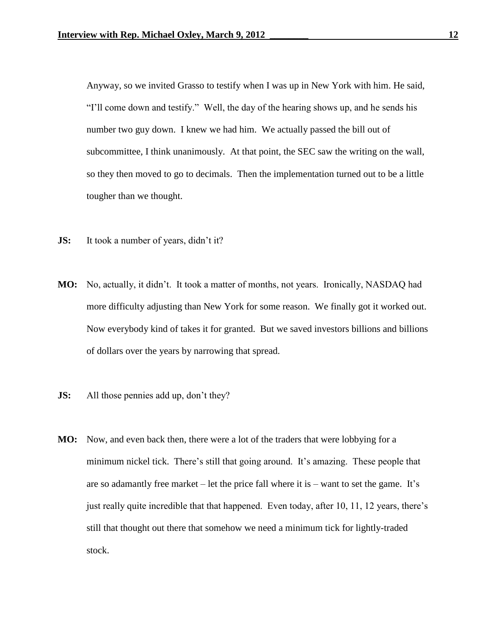Anyway, so we invited Grasso to testify when I was up in New York with him. He said, "I'll come down and testify." Well, the day of the hearing shows up, and he sends his number two guy down. I knew we had him. We actually passed the bill out of subcommittee, I think unanimously. At that point, the SEC saw the writing on the wall, so they then moved to go to decimals. Then the implementation turned out to be a little tougher than we thought.

- **JS:** It took a number of years, didn't it?
- **MO:** No, actually, it didn't. It took a matter of months, not years. Ironically, NASDAQ had more difficulty adjusting than New York for some reason. We finally got it worked out. Now everybody kind of takes it for granted. But we saved investors billions and billions of dollars over the years by narrowing that spread.
- **JS:** All those pennies add up, don't they?
- **MO:** Now, and even back then, there were a lot of the traders that were lobbying for a minimum nickel tick. There's still that going around. It's amazing. These people that are so adamantly free market – let the price fall where it is – want to set the game. It's just really quite incredible that that happened. Even today, after 10, 11, 12 years, there's still that thought out there that somehow we need a minimum tick for lightly-traded stock.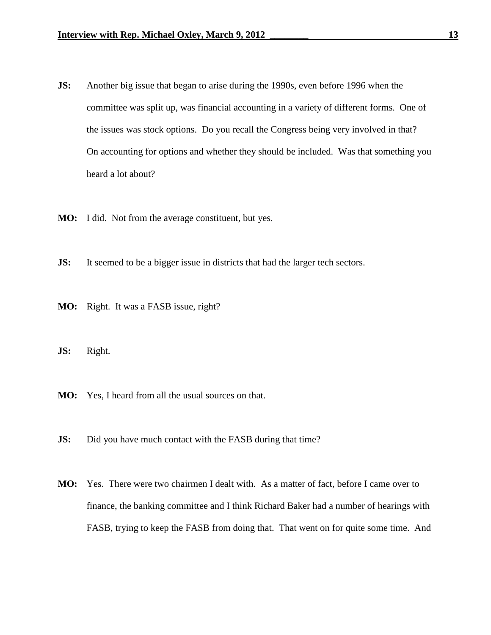- **JS:** Another big issue that began to arise during the 1990s, even before 1996 when the committee was split up, was financial accounting in a variety of different forms. One of the issues was stock options. Do you recall the Congress being very involved in that? On accounting for options and whether they should be included. Was that something you heard a lot about?
- **MO:** I did. Not from the average constituent, but yes.
- **JS:** It seemed to be a bigger issue in districts that had the larger tech sectors.
- **MO:** Right. It was a FASB issue, right?
- **JS:** Right.
- **MO:** Yes, I heard from all the usual sources on that.
- **JS:** Did you have much contact with the FASB during that time?
- **MO:** Yes. There were two chairmen I dealt with. As a matter of fact, before I came over to finance, the banking committee and I think Richard Baker had a number of hearings with FASB, trying to keep the FASB from doing that. That went on for quite some time. And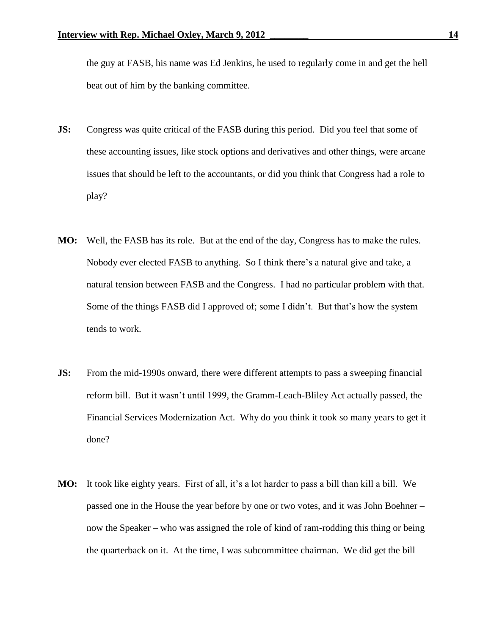the guy at FASB, his name was Ed Jenkins, he used to regularly come in and get the hell beat out of him by the banking committee.

- **JS:** Congress was quite critical of the FASB during this period. Did you feel that some of these accounting issues, like stock options and derivatives and other things, were arcane issues that should be left to the accountants, or did you think that Congress had a role to play?
- **MO:** Well, the FASB has its role. But at the end of the day, Congress has to make the rules. Nobody ever elected FASB to anything. So I think there's a natural give and take, a natural tension between FASB and the Congress. I had no particular problem with that. Some of the things FASB did I approved of; some I didn't. But that's how the system tends to work.
- **JS:** From the mid-1990s onward, there were different attempts to pass a sweeping financial reform bill. But it wasn't until 1999, the Gramm-Leach-Bliley Act actually passed, the Financial Services Modernization Act. Why do you think it took so many years to get it done?
- **MO:** It took like eighty years. First of all, it's a lot harder to pass a bill than kill a bill. We passed one in the House the year before by one or two votes, and it was John Boehner – now the Speaker – who was assigned the role of kind of ram-rodding this thing or being the quarterback on it. At the time, I was subcommittee chairman. We did get the bill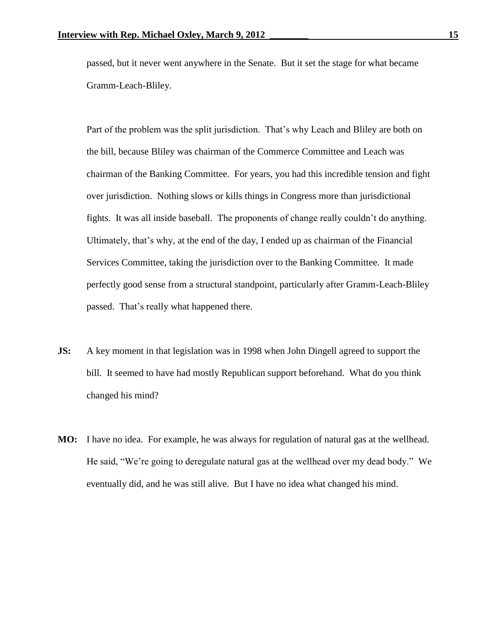passed, but it never went anywhere in the Senate. But it set the stage for what became Gramm-Leach-Bliley.

Part of the problem was the split jurisdiction. That's why Leach and Bliley are both on the bill, because Bliley was chairman of the Commerce Committee and Leach was chairman of the Banking Committee. For years, you had this incredible tension and fight over jurisdiction. Nothing slows or kills things in Congress more than jurisdictional fights. It was all inside baseball. The proponents of change really couldn't do anything. Ultimately, that's why, at the end of the day, I ended up as chairman of the Financial Services Committee, taking the jurisdiction over to the Banking Committee. It made perfectly good sense from a structural standpoint, particularly after Gramm-Leach-Bliley passed. That's really what happened there.

- **JS:** A key moment in that legislation was in 1998 when John Dingell agreed to support the bill. It seemed to have had mostly Republican support beforehand. What do you think changed his mind?
- **MO:** I have no idea. For example, he was always for regulation of natural gas at the wellhead. He said, "We're going to deregulate natural gas at the wellhead over my dead body." We eventually did, and he was still alive. But I have no idea what changed his mind.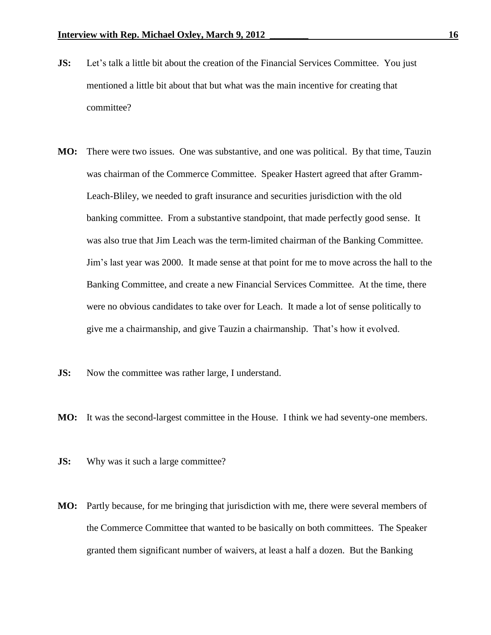- **JS:** Let's talk a little bit about the creation of the Financial Services Committee. You just mentioned a little bit about that but what was the main incentive for creating that committee?
- **MO:** There were two issues. One was substantive, and one was political. By that time, Tauzin was chairman of the Commerce Committee. Speaker Hastert agreed that after Gramm-Leach-Bliley, we needed to graft insurance and securities jurisdiction with the old banking committee. From a substantive standpoint, that made perfectly good sense. It was also true that Jim Leach was the term-limited chairman of the Banking Committee. Jim's last year was 2000. It made sense at that point for me to move across the hall to the Banking Committee, and create a new Financial Services Committee. At the time, there were no obvious candidates to take over for Leach. It made a lot of sense politically to give me a chairmanship, and give Tauzin a chairmanship. That's how it evolved.
- **JS:** Now the committee was rather large, I understand.
- **MO:** It was the second-largest committee in the House. I think we had seventy-one members.
- **JS:** Why was it such a large committee?
- **MO:** Partly because, for me bringing that jurisdiction with me, there were several members of the Commerce Committee that wanted to be basically on both committees. The Speaker granted them significant number of waivers, at least a half a dozen. But the Banking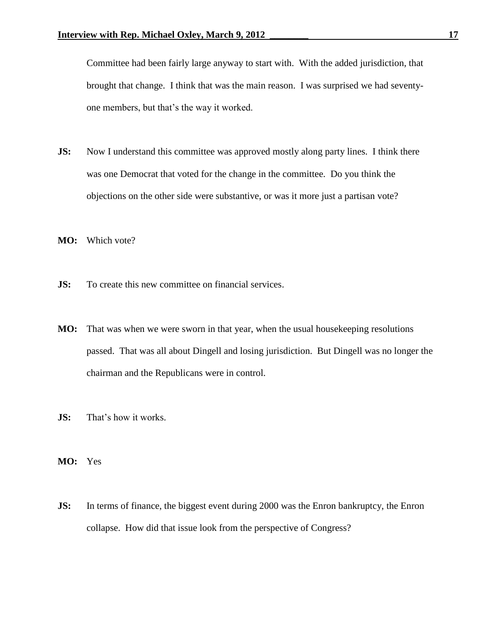Committee had been fairly large anyway to start with. With the added jurisdiction, that brought that change. I think that was the main reason. I was surprised we had seventyone members, but that's the way it worked.

- **JS:** Now I understand this committee was approved mostly along party lines. I think there was one Democrat that voted for the change in the committee. Do you think the objections on the other side were substantive, or was it more just a partisan vote?
- **MO:** Which vote?
- **JS:** To create this new committee on financial services.
- **MO:** That was when we were sworn in that year, when the usual housekeeping resolutions passed. That was all about Dingell and losing jurisdiction. But Dingell was no longer the chairman and the Republicans were in control.
- **JS:** That's how it works.
- **MO:** Yes
- **JS:** In terms of finance, the biggest event during 2000 was the Enron bankruptcy, the Enron collapse. How did that issue look from the perspective of Congress?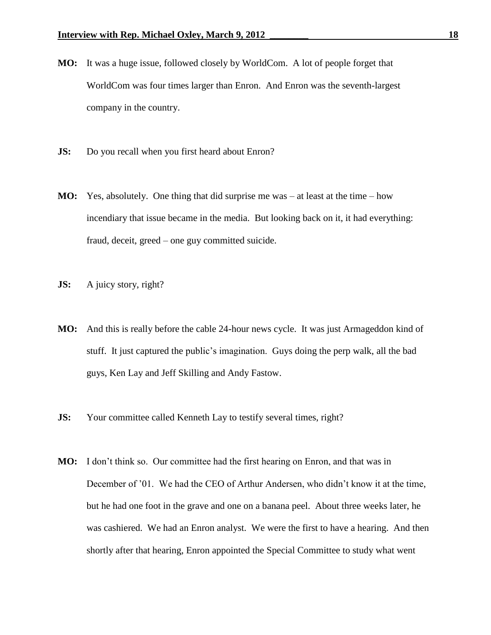- **MO:** It was a huge issue, followed closely by WorldCom. A lot of people forget that WorldCom was four times larger than Enron. And Enron was the seventh-largest company in the country.
- **JS:** Do you recall when you first heard about Enron?
- **MO:** Yes, absolutely. One thing that did surprise me was at least at the time how incendiary that issue became in the media. But looking back on it, it had everything: fraud, deceit, greed – one guy committed suicide.
- **JS:** A juicy story, right?
- **MO:** And this is really before the cable 24-hour news cycle. It was just Armageddon kind of stuff. It just captured the public's imagination. Guys doing the perp walk, all the bad guys, Ken Lay and Jeff Skilling and Andy Fastow.
- **JS:** Your committee called Kenneth Lay to testify several times, right?
- **MO:** I don't think so. Our committee had the first hearing on Enron, and that was in December of '01. We had the CEO of Arthur Andersen, who didn't know it at the time, but he had one foot in the grave and one on a banana peel. About three weeks later, he was cashiered. We had an Enron analyst. We were the first to have a hearing. And then shortly after that hearing, Enron appointed the Special Committee to study what went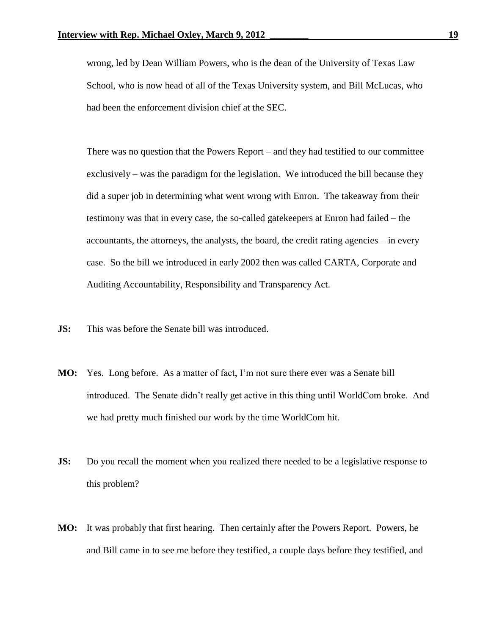wrong, led by Dean William Powers, who is the dean of the University of Texas Law School, who is now head of all of the Texas University system, and Bill McLucas, who had been the enforcement division chief at the SEC.

There was no question that the Powers Report – and they had testified to our committee exclusively – was the paradigm for the legislation. We introduced the bill because they did a super job in determining what went wrong with Enron. The takeaway from their testimony was that in every case, the so-called gatekeepers at Enron had failed – the accountants, the attorneys, the analysts, the board, the credit rating agencies – in every case. So the bill we introduced in early 2002 then was called CARTA, Corporate and Auditing Accountability, Responsibility and Transparency Act.

- **JS:** This was before the Senate bill was introduced.
- **MO:** Yes. Long before. As a matter of fact, I'm not sure there ever was a Senate bill introduced. The Senate didn't really get active in this thing until WorldCom broke. And we had pretty much finished our work by the time WorldCom hit.
- **JS:** Do you recall the moment when you realized there needed to be a legislative response to this problem?
- **MO:** It was probably that first hearing. Then certainly after the Powers Report. Powers, he and Bill came in to see me before they testified, a couple days before they testified, and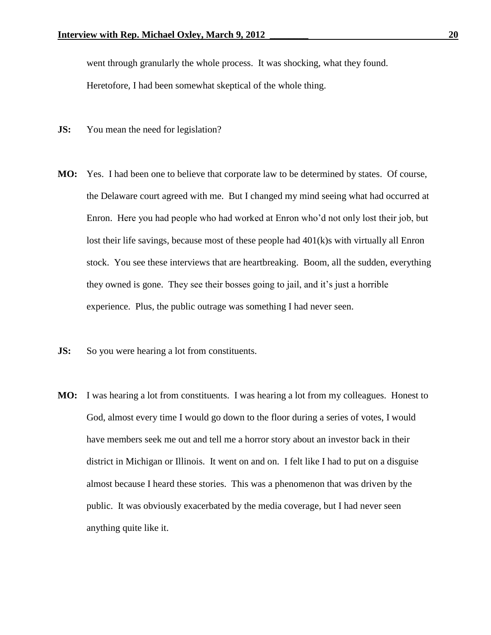went through granularly the whole process. It was shocking, what they found.

Heretofore, I had been somewhat skeptical of the whole thing.

- **JS:** You mean the need for legislation?
- **MO:** Yes. I had been one to believe that corporate law to be determined by states. Of course, the Delaware court agreed with me. But I changed my mind seeing what had occurred at Enron. Here you had people who had worked at Enron who'd not only lost their job, but lost their life savings, because most of these people had 401(k)s with virtually all Enron stock. You see these interviews that are heartbreaking. Boom, all the sudden, everything they owned is gone. They see their bosses going to jail, and it's just a horrible experience. Plus, the public outrage was something I had never seen.
- **JS:** So you were hearing a lot from constituents.
- **MO:** I was hearing a lot from constituents. I was hearing a lot from my colleagues. Honest to God, almost every time I would go down to the floor during a series of votes, I would have members seek me out and tell me a horror story about an investor back in their district in Michigan or Illinois. It went on and on. I felt like I had to put on a disguise almost because I heard these stories. This was a phenomenon that was driven by the public. It was obviously exacerbated by the media coverage, but I had never seen anything quite like it.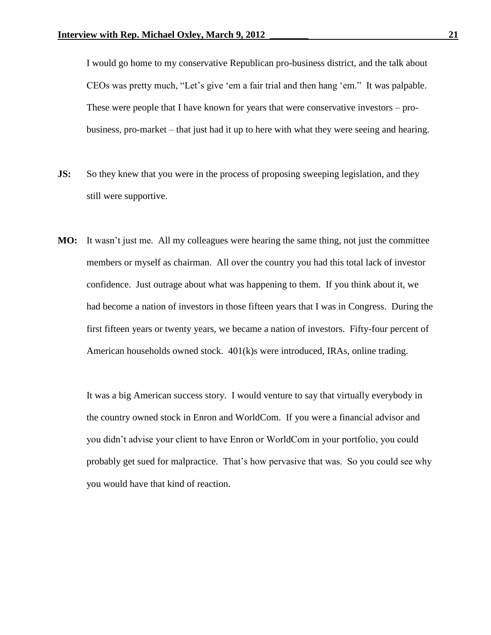I would go home to my conservative Republican pro-business district, and the talk about CEOs was pretty much, "Let's give 'em a fair trial and then hang 'em." It was palpable. These were people that I have known for years that were conservative investors – probusiness, pro-market – that just had it up to here with what they were seeing and hearing.

- **JS:** So they knew that you were in the process of proposing sweeping legislation, and they still were supportive.
- **MO:** It wasn't just me. All my colleagues were hearing the same thing, not just the committee members or myself as chairman. All over the country you had this total lack of investor confidence. Just outrage about what was happening to them. If you think about it, we had become a nation of investors in those fifteen years that I was in Congress. During the first fifteen years or twenty years, we became a nation of investors. Fifty-four percent of American households owned stock. 401(k)s were introduced, IRAs, online trading.

It was a big American success story. I would venture to say that virtually everybody in the country owned stock in Enron and WorldCom. If you were a financial advisor and you didn't advise your client to have Enron or WorldCom in your portfolio, you could probably get sued for malpractice. That's how pervasive that was. So you could see why you would have that kind of reaction.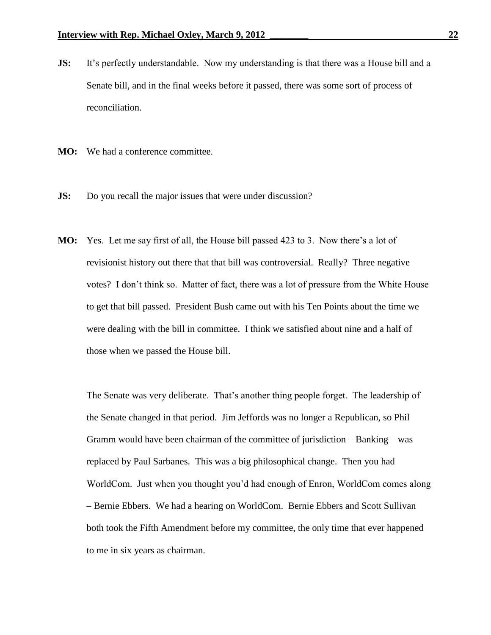- **JS:** It's perfectly understandable. Now my understanding is that there was a House bill and a Senate bill, and in the final weeks before it passed, there was some sort of process of reconciliation.
- **MO:** We had a conference committee.
- **JS:** Do you recall the major issues that were under discussion?
- **MO:** Yes. Let me say first of all, the House bill passed 423 to 3. Now there's a lot of revisionist history out there that that bill was controversial. Really? Three negative votes? I don't think so. Matter of fact, there was a lot of pressure from the White House to get that bill passed. President Bush came out with his Ten Points about the time we were dealing with the bill in committee. I think we satisfied about nine and a half of those when we passed the House bill.

The Senate was very deliberate. That's another thing people forget. The leadership of the Senate changed in that period. Jim Jeffords was no longer a Republican, so Phil Gramm would have been chairman of the committee of jurisdiction – Banking – was replaced by Paul Sarbanes. This was a big philosophical change. Then you had WorldCom. Just when you thought you'd had enough of Enron, WorldCom comes along – Bernie Ebbers. We had a hearing on WorldCom. Bernie Ebbers and Scott Sullivan both took the Fifth Amendment before my committee, the only time that ever happened to me in six years as chairman.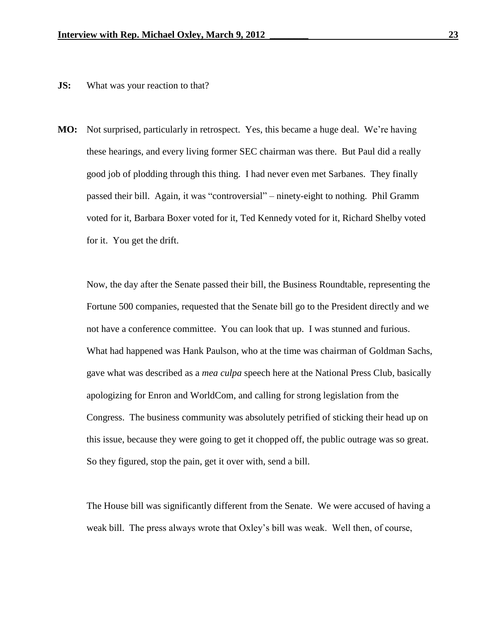## **JS:** What was your reaction to that?

**MO:** Not surprised, particularly in retrospect. Yes, this became a huge deal. We're having these hearings, and every living former SEC chairman was there. But Paul did a really good job of plodding through this thing. I had never even met Sarbanes. They finally passed their bill. Again, it was "controversial" – ninety-eight to nothing. Phil Gramm voted for it, Barbara Boxer voted for it, Ted Kennedy voted for it, Richard Shelby voted for it. You get the drift.

Now, the day after the Senate passed their bill, the Business Roundtable, representing the Fortune 500 companies, requested that the Senate bill go to the President directly and we not have a conference committee. You can look that up. I was stunned and furious. What had happened was Hank Paulson, who at the time was chairman of Goldman Sachs, gave what was described as a *mea culpa* speech here at the National Press Club, basically apologizing for Enron and WorldCom, and calling for strong legislation from the Congress. The business community was absolutely petrified of sticking their head up on this issue, because they were going to get it chopped off, the public outrage was so great. So they figured, stop the pain, get it over with, send a bill.

The House bill was significantly different from the Senate. We were accused of having a weak bill. The press always wrote that Oxley's bill was weak. Well then, of course,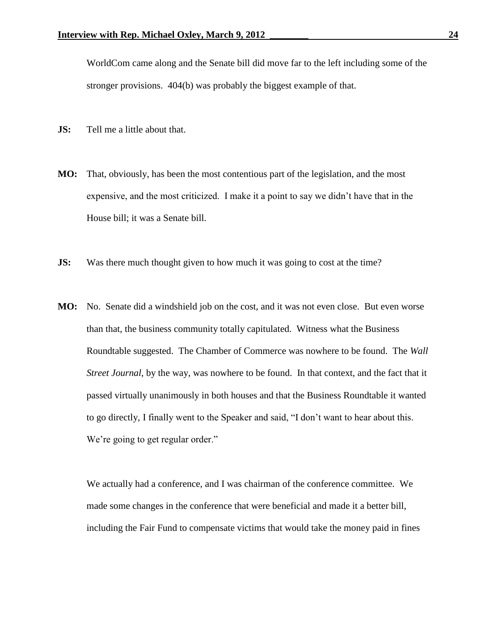WorldCom came along and the Senate bill did move far to the left including some of the stronger provisions. 404(b) was probably the biggest example of that.

- **JS:** Tell me a little about that.
- **MO:** That, obviously, has been the most contentious part of the legislation, and the most expensive, and the most criticized. I make it a point to say we didn't have that in the House bill; it was a Senate bill.
- **JS:** Was there much thought given to how much it was going to cost at the time?
- **MO:** No. Senate did a windshield job on the cost, and it was not even close. But even worse than that, the business community totally capitulated. Witness what the Business Roundtable suggested. The Chamber of Commerce was nowhere to be found. The *Wall Street Journal*, by the way, was nowhere to be found. In that context, and the fact that it passed virtually unanimously in both houses and that the Business Roundtable it wanted to go directly, I finally went to the Speaker and said, "I don't want to hear about this. We're going to get regular order."

We actually had a conference, and I was chairman of the conference committee. We made some changes in the conference that were beneficial and made it a better bill, including the Fair Fund to compensate victims that would take the money paid in fines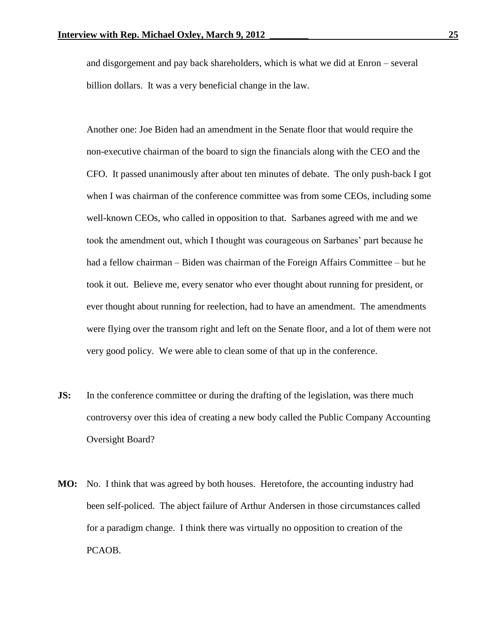and disgorgement and pay back shareholders, which is what we did at Enron – several billion dollars. It was a very beneficial change in the law.

Another one: Joe Biden had an amendment in the Senate floor that would require the non-executive chairman of the board to sign the financials along with the CEO and the CFO. It passed unanimously after about ten minutes of debate. The only push-back I got when I was chairman of the conference committee was from some CEOs, including some well-known CEOs, who called in opposition to that. Sarbanes agreed with me and we took the amendment out, which I thought was courageous on Sarbanes' part because he had a fellow chairman – Biden was chairman of the Foreign Affairs Committee – but he took it out. Believe me, every senator who ever thought about running for president, or ever thought about running for reelection, had to have an amendment. The amendments were flying over the transom right and left on the Senate floor, and a lot of them were not very good policy. We were able to clean some of that up in the conference.

- **JS:** In the conference committee or during the drafting of the legislation, was there much controversy over this idea of creating a new body called the Public Company Accounting Oversight Board?
- **MO:** No. I think that was agreed by both houses. Heretofore, the accounting industry had been self-policed. The abject failure of Arthur Andersen in those circumstances called for a paradigm change. I think there was virtually no opposition to creation of the PCAOB.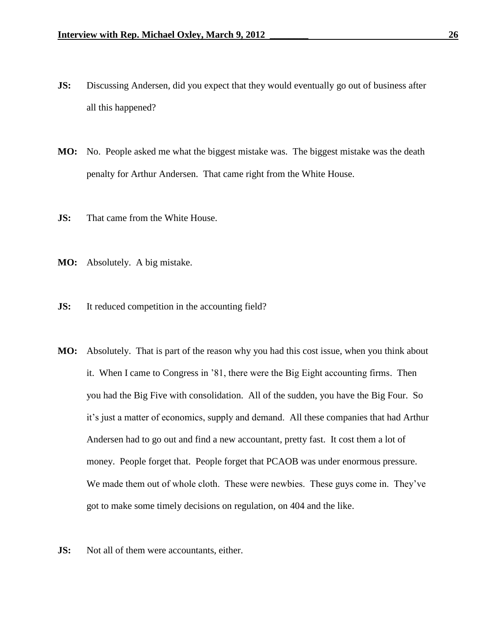- **JS:** Discussing Andersen, did you expect that they would eventually go out of business after all this happened?
- **MO:** No. People asked me what the biggest mistake was. The biggest mistake was the death penalty for Arthur Andersen. That came right from the White House.
- **JS:** That came from the White House.
- **MO:** Absolutely. A big mistake.
- **JS:** It reduced competition in the accounting field?
- **MO:** Absolutely. That is part of the reason why you had this cost issue, when you think about it. When I came to Congress in '81, there were the Big Eight accounting firms. Then you had the Big Five with consolidation. All of the sudden, you have the Big Four. So it's just a matter of economics, supply and demand. All these companies that had Arthur Andersen had to go out and find a new accountant, pretty fast. It cost them a lot of money. People forget that. People forget that PCAOB was under enormous pressure. We made them out of whole cloth. These were newbies. These guys come in. They've got to make some timely decisions on regulation, on 404 and the like.
- **JS:** Not all of them were accountants, either.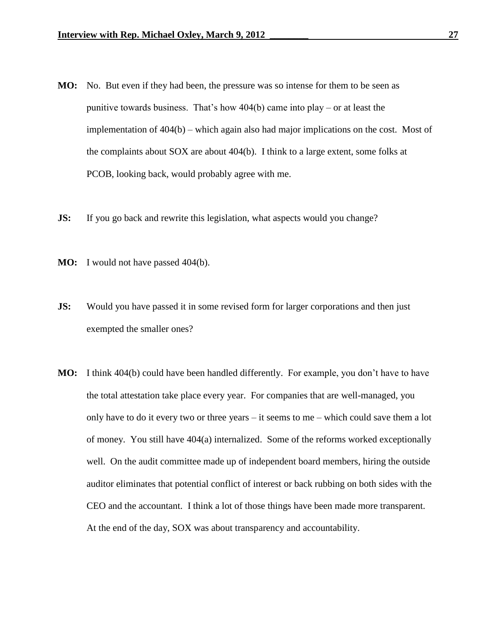- **MO:** No. But even if they had been, the pressure was so intense for them to be seen as punitive towards business. That's how 404(b) came into play – or at least the implementation of 404(b) – which again also had major implications on the cost. Most of the complaints about SOX are about 404(b). I think to a large extent, some folks at PCOB, looking back, would probably agree with me.
- **JS:** If you go back and rewrite this legislation, what aspects would you change?
- **MO:** I would not have passed 404(b).
- **JS:** Would you have passed it in some revised form for larger corporations and then just exempted the smaller ones?
- **MO:** I think 404(b) could have been handled differently. For example, you don't have to have the total attestation take place every year. For companies that are well-managed, you only have to do it every two or three years – it seems to me – which could save them a lot of money. You still have 404(a) internalized. Some of the reforms worked exceptionally well. On the audit committee made up of independent board members, hiring the outside auditor eliminates that potential conflict of interest or back rubbing on both sides with the CEO and the accountant. I think a lot of those things have been made more transparent. At the end of the day, SOX was about transparency and accountability.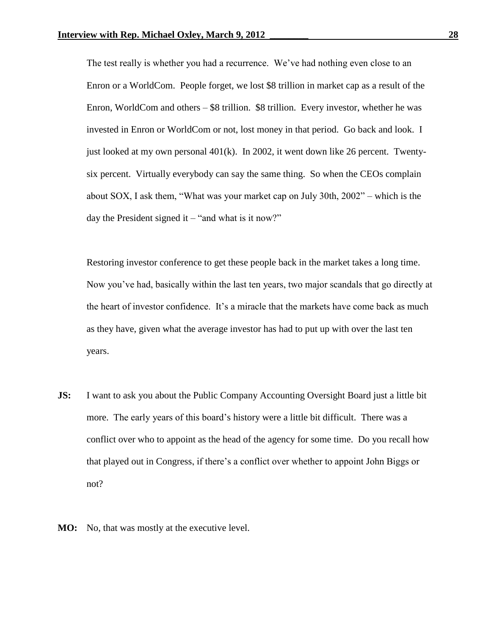The test really is whether you had a recurrence. We've had nothing even close to an Enron or a WorldCom. People forget, we lost \$8 trillion in market cap as a result of the Enron, WorldCom and others  $-$  \$8 trillion. \$8 trillion. Every investor, whether he was invested in Enron or WorldCom or not, lost money in that period. Go back and look. I just looked at my own personal 401(k). In 2002, it went down like 26 percent. Twentysix percent. Virtually everybody can say the same thing. So when the CEOs complain about SOX, I ask them, "What was your market cap on July 30th, 2002" – which is the day the President signed it  $-$  "and what is it now?"

Restoring investor conference to get these people back in the market takes a long time. Now you've had, basically within the last ten years, two major scandals that go directly at the heart of investor confidence. It's a miracle that the markets have come back as much as they have, given what the average investor has had to put up with over the last ten years.

- **JS:** I want to ask you about the Public Company Accounting Oversight Board just a little bit more. The early years of this board's history were a little bit difficult. There was a conflict over who to appoint as the head of the agency for some time. Do you recall how that played out in Congress, if there's a conflict over whether to appoint John Biggs or not?
- **MO:** No, that was mostly at the executive level.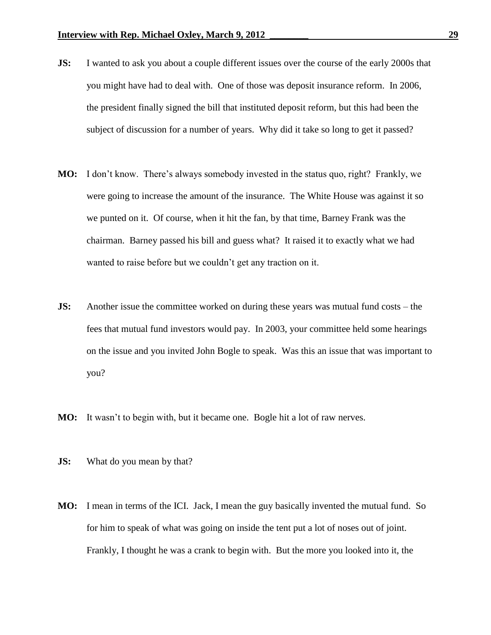- **JS:** I wanted to ask you about a couple different issues over the course of the early 2000s that you might have had to deal with. One of those was deposit insurance reform. In 2006, the president finally signed the bill that instituted deposit reform, but this had been the subject of discussion for a number of years. Why did it take so long to get it passed?
- **MO:** I don't know. There's always somebody invested in the status quo, right? Frankly, we were going to increase the amount of the insurance. The White House was against it so we punted on it. Of course, when it hit the fan, by that time, Barney Frank was the chairman. Barney passed his bill and guess what? It raised it to exactly what we had wanted to raise before but we couldn't get any traction on it.
- **JS:** Another issue the committee worked on during these years was mutual fund costs the fees that mutual fund investors would pay. In 2003, your committee held some hearings on the issue and you invited John Bogle to speak. Was this an issue that was important to you?
- **MO:** It wasn't to begin with, but it became one. Bogle hit a lot of raw nerves.
- **JS:** What do you mean by that?
- **MO:** I mean in terms of the ICI. Jack, I mean the guy basically invented the mutual fund. So for him to speak of what was going on inside the tent put a lot of noses out of joint. Frankly, I thought he was a crank to begin with. But the more you looked into it, the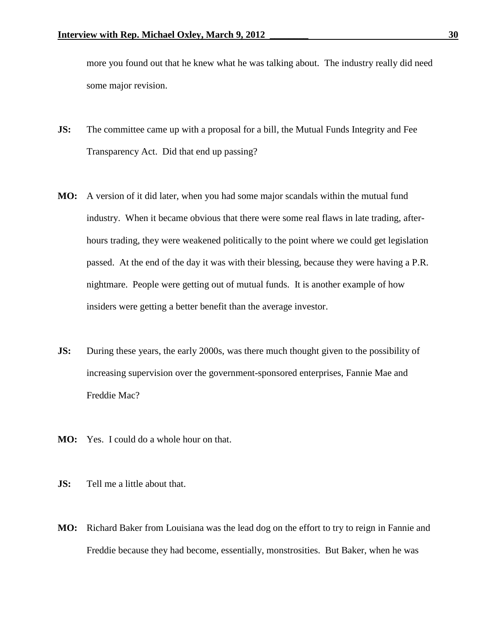more you found out that he knew what he was talking about. The industry really did need some major revision.

- **JS:** The committee came up with a proposal for a bill, the Mutual Funds Integrity and Fee Transparency Act. Did that end up passing?
- **MO:** A version of it did later, when you had some major scandals within the mutual fund industry. When it became obvious that there were some real flaws in late trading, afterhours trading, they were weakened politically to the point where we could get legislation passed. At the end of the day it was with their blessing, because they were having a P.R. nightmare. People were getting out of mutual funds. It is another example of how insiders were getting a better benefit than the average investor.
- **JS:** During these years, the early 2000s, was there much thought given to the possibility of increasing supervision over the government-sponsored enterprises, Fannie Mae and Freddie Mac?
- **MO:** Yes. I could do a whole hour on that.
- **JS:** Tell me a little about that.
- **MO:** Richard Baker from Louisiana was the lead dog on the effort to try to reign in Fannie and Freddie because they had become, essentially, monstrosities. But Baker, when he was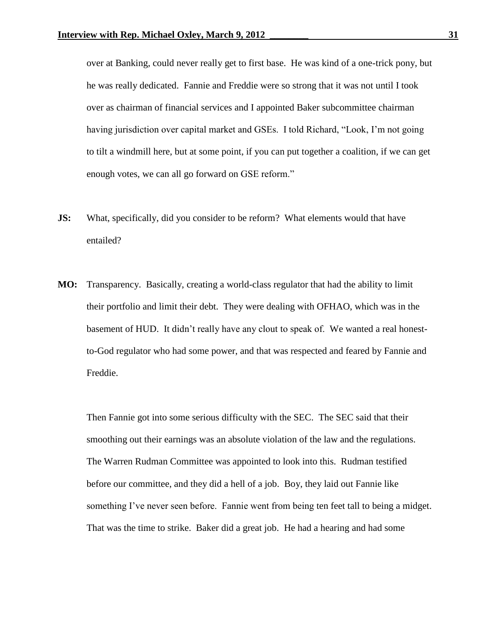over at Banking, could never really get to first base. He was kind of a one-trick pony, but he was really dedicated. Fannie and Freddie were so strong that it was not until I took over as chairman of financial services and I appointed Baker subcommittee chairman having jurisdiction over capital market and GSEs. I told Richard, "Look, I'm not going to tilt a windmill here, but at some point, if you can put together a coalition, if we can get enough votes, we can all go forward on GSE reform."

- **JS:** What, specifically, did you consider to be reform? What elements would that have entailed?
- **MO:** Transparency. Basically, creating a world-class regulator that had the ability to limit their portfolio and limit their debt. They were dealing with OFHAO, which was in the basement of HUD. It didn't really have any clout to speak of. We wanted a real honestto-God regulator who had some power, and that was respected and feared by Fannie and Freddie.

Then Fannie got into some serious difficulty with the SEC. The SEC said that their smoothing out their earnings was an absolute violation of the law and the regulations. The Warren Rudman Committee was appointed to look into this. Rudman testified before our committee, and they did a hell of a job. Boy, they laid out Fannie like something I've never seen before. Fannie went from being ten feet tall to being a midget. That was the time to strike. Baker did a great job. He had a hearing and had some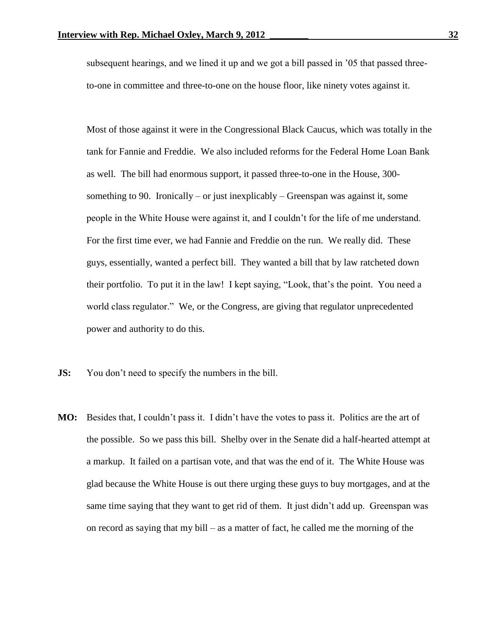subsequent hearings, and we lined it up and we got a bill passed in '05 that passed threeto-one in committee and three-to-one on the house floor, like ninety votes against it.

Most of those against it were in the Congressional Black Caucus, which was totally in the tank for Fannie and Freddie. We also included reforms for the Federal Home Loan Bank as well. The bill had enormous support, it passed three-to-one in the House, 300 something to 90. Ironically – or just inexplicably – Greenspan was against it, some people in the White House were against it, and I couldn't for the life of me understand. For the first time ever, we had Fannie and Freddie on the run. We really did. These guys, essentially, wanted a perfect bill. They wanted a bill that by law ratcheted down their portfolio. To put it in the law! I kept saying, "Look, that's the point. You need a world class regulator." We, or the Congress, are giving that regulator unprecedented power and authority to do this.

- **JS:** You don't need to specify the numbers in the bill.
- **MO:** Besides that, I couldn't pass it. I didn't have the votes to pass it. Politics are the art of the possible. So we pass this bill. Shelby over in the Senate did a half-hearted attempt at a markup. It failed on a partisan vote, and that was the end of it. The White House was glad because the White House is out there urging these guys to buy mortgages, and at the same time saying that they want to get rid of them. It just didn't add up. Greenspan was on record as saying that my bill – as a matter of fact, he called me the morning of the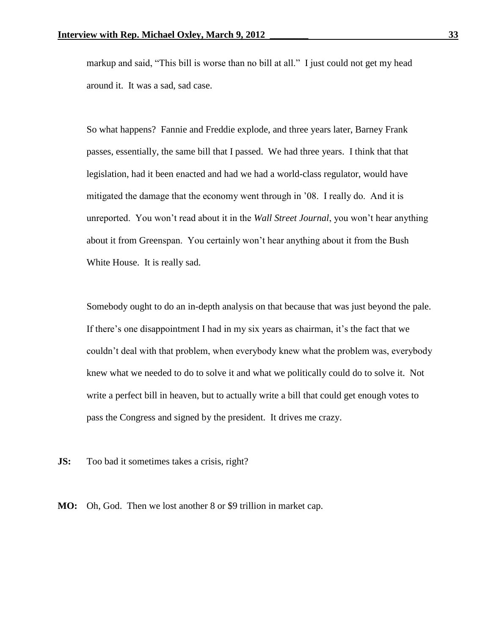markup and said, "This bill is worse than no bill at all." I just could not get my head around it. It was a sad, sad case.

So what happens? Fannie and Freddie explode, and three years later, Barney Frank passes, essentially, the same bill that I passed. We had three years. I think that that legislation, had it been enacted and had we had a world-class regulator, would have mitigated the damage that the economy went through in '08. I really do. And it is unreported. You won't read about it in the *Wall Street Journal*, you won't hear anything about it from Greenspan. You certainly won't hear anything about it from the Bush White House. It is really sad.

Somebody ought to do an in-depth analysis on that because that was just beyond the pale. If there's one disappointment I had in my six years as chairman, it's the fact that we couldn't deal with that problem, when everybody knew what the problem was, everybody knew what we needed to do to solve it and what we politically could do to solve it. Not write a perfect bill in heaven, but to actually write a bill that could get enough votes to pass the Congress and signed by the president. It drives me crazy.

**JS:** Too bad it sometimes takes a crisis, right?

**MO:** Oh, God. Then we lost another 8 or \$9 trillion in market cap.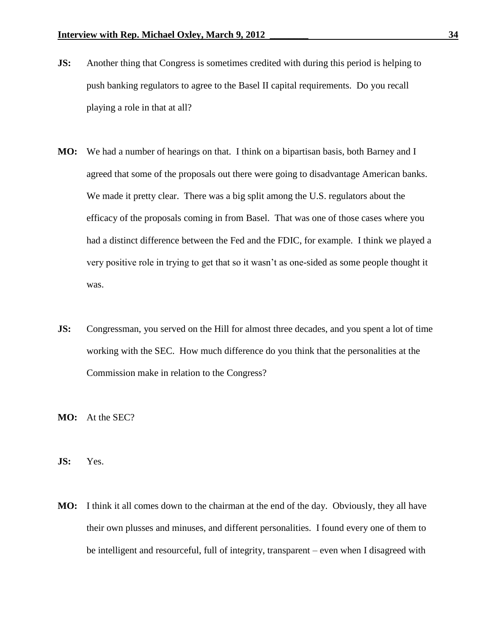- **JS:** Another thing that Congress is sometimes credited with during this period is helping to push banking regulators to agree to the Basel II capital requirements. Do you recall playing a role in that at all?
- **MO:** We had a number of hearings on that. I think on a bipartisan basis, both Barney and I agreed that some of the proposals out there were going to disadvantage American banks. We made it pretty clear. There was a big split among the U.S. regulators about the efficacy of the proposals coming in from Basel. That was one of those cases where you had a distinct difference between the Fed and the FDIC, for example. I think we played a very positive role in trying to get that so it wasn't as one-sided as some people thought it was.
- **JS:** Congressman, you served on the Hill for almost three decades, and you spent a lot of time working with the SEC. How much difference do you think that the personalities at the Commission make in relation to the Congress?
- **MO:** At the SEC?
- **JS:** Yes.
- **MO:** I think it all comes down to the chairman at the end of the day. Obviously, they all have their own plusses and minuses, and different personalities. I found every one of them to be intelligent and resourceful, full of integrity, transparent – even when I disagreed with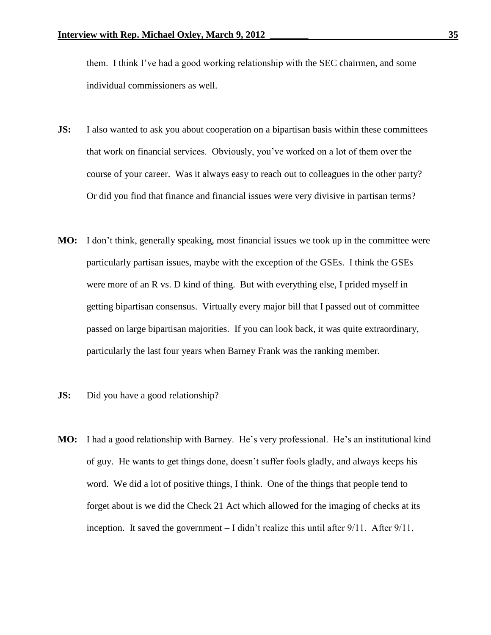them. I think I've had a good working relationship with the SEC chairmen, and some individual commissioners as well.

- **JS:** I also wanted to ask you about cooperation on a bipartisan basis within these committees that work on financial services. Obviously, you've worked on a lot of them over the course of your career. Was it always easy to reach out to colleagues in the other party? Or did you find that finance and financial issues were very divisive in partisan terms?
- **MO:** I don't think, generally speaking, most financial issues we took up in the committee were particularly partisan issues, maybe with the exception of the GSEs. I think the GSEs were more of an R vs. D kind of thing. But with everything else, I prided myself in getting bipartisan consensus. Virtually every major bill that I passed out of committee passed on large bipartisan majorities. If you can look back, it was quite extraordinary, particularly the last four years when Barney Frank was the ranking member.
- **JS:** Did you have a good relationship?
- **MO:** I had a good relationship with Barney. He's very professional. He's an institutional kind of guy. He wants to get things done, doesn't suffer fools gladly, and always keeps his word. We did a lot of positive things, I think. One of the things that people tend to forget about is we did the Check 21 Act which allowed for the imaging of checks at its inception. It saved the government – I didn't realize this until after 9/11. After 9/11,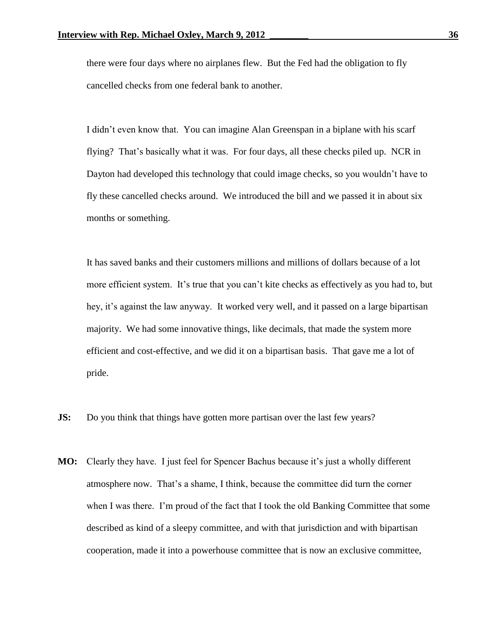there were four days where no airplanes flew. But the Fed had the obligation to fly cancelled checks from one federal bank to another.

I didn't even know that. You can imagine Alan Greenspan in a biplane with his scarf flying? That's basically what it was. For four days, all these checks piled up. NCR in Dayton had developed this technology that could image checks, so you wouldn't have to fly these cancelled checks around. We introduced the bill and we passed it in about six months or something.

It has saved banks and their customers millions and millions of dollars because of a lot more efficient system. It's true that you can't kite checks as effectively as you had to, but hey, it's against the law anyway. It worked very well, and it passed on a large bipartisan majority. We had some innovative things, like decimals, that made the system more efficient and cost-effective, and we did it on a bipartisan basis. That gave me a lot of pride.

- **JS:** Do you think that things have gotten more partisan over the last few years?
- **MO:** Clearly they have. I just feel for Spencer Bachus because it's just a wholly different atmosphere now. That's a shame, I think, because the committee did turn the corner when I was there. I'm proud of the fact that I took the old Banking Committee that some described as kind of a sleepy committee, and with that jurisdiction and with bipartisan cooperation, made it into a powerhouse committee that is now an exclusive committee,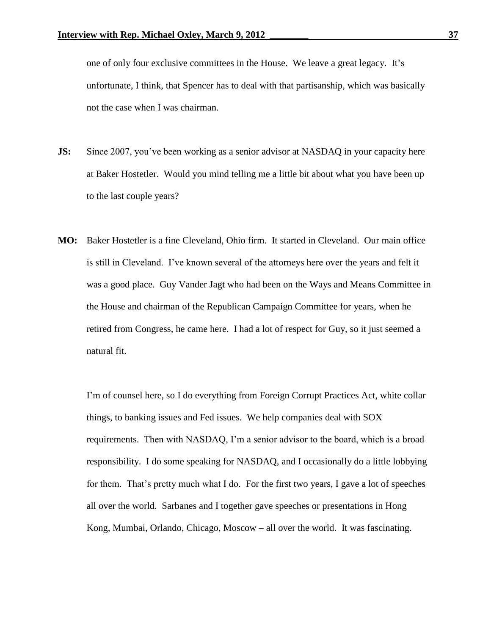one of only four exclusive committees in the House. We leave a great legacy. It's unfortunate, I think, that Spencer has to deal with that partisanship, which was basically not the case when I was chairman.

- **JS:** Since 2007, you've been working as a senior advisor at NASDAQ in your capacity here at Baker Hostetler. Would you mind telling me a little bit about what you have been up to the last couple years?
- **MO:** Baker Hostetler is a fine Cleveland, Ohio firm. It started in Cleveland. Our main office is still in Cleveland. I've known several of the attorneys here over the years and felt it was a good place. Guy Vander Jagt who had been on the Ways and Means Committee in the House and chairman of the Republican Campaign Committee for years, when he retired from Congress, he came here. I had a lot of respect for Guy, so it just seemed a natural fit.

I'm of counsel here, so I do everything from Foreign Corrupt Practices Act, white collar things, to banking issues and Fed issues. We help companies deal with SOX requirements. Then with NASDAQ, I'm a senior advisor to the board, which is a broad responsibility. I do some speaking for NASDAQ, and I occasionally do a little lobbying for them. That's pretty much what I do. For the first two years, I gave a lot of speeches all over the world. Sarbanes and I together gave speeches or presentations in Hong Kong, Mumbai, Orlando, Chicago, Moscow – all over the world. It was fascinating.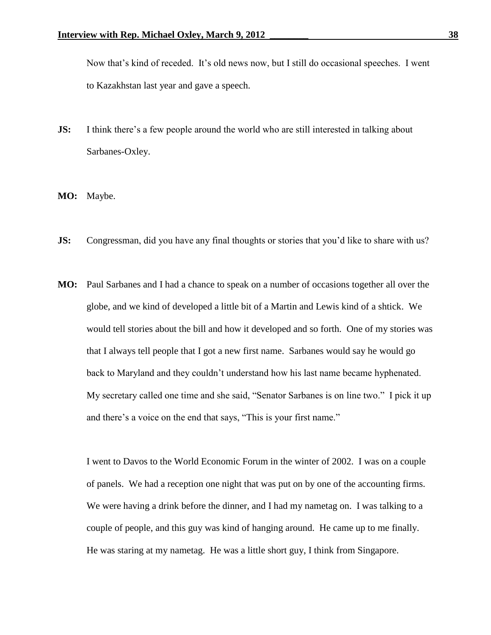Now that's kind of receded. It's old news now, but I still do occasional speeches. I went to Kazakhstan last year and gave a speech.

- **JS:** I think there's a few people around the world who are still interested in talking about Sarbanes-Oxley.
- **MO:** Maybe.
- **JS:** Congressman, did you have any final thoughts or stories that you'd like to share with us?
- **MO:** Paul Sarbanes and I had a chance to speak on a number of occasions together all over the globe, and we kind of developed a little bit of a Martin and Lewis kind of a shtick. We would tell stories about the bill and how it developed and so forth. One of my stories was that I always tell people that I got a new first name. Sarbanes would say he would go back to Maryland and they couldn't understand how his last name became hyphenated. My secretary called one time and she said, "Senator Sarbanes is on line two." I pick it up and there's a voice on the end that says, "This is your first name."

I went to Davos to the World Economic Forum in the winter of 2002. I was on a couple of panels. We had a reception one night that was put on by one of the accounting firms. We were having a drink before the dinner, and I had my nametag on. I was talking to a couple of people, and this guy was kind of hanging around. He came up to me finally. He was staring at my nametag. He was a little short guy, I think from Singapore.